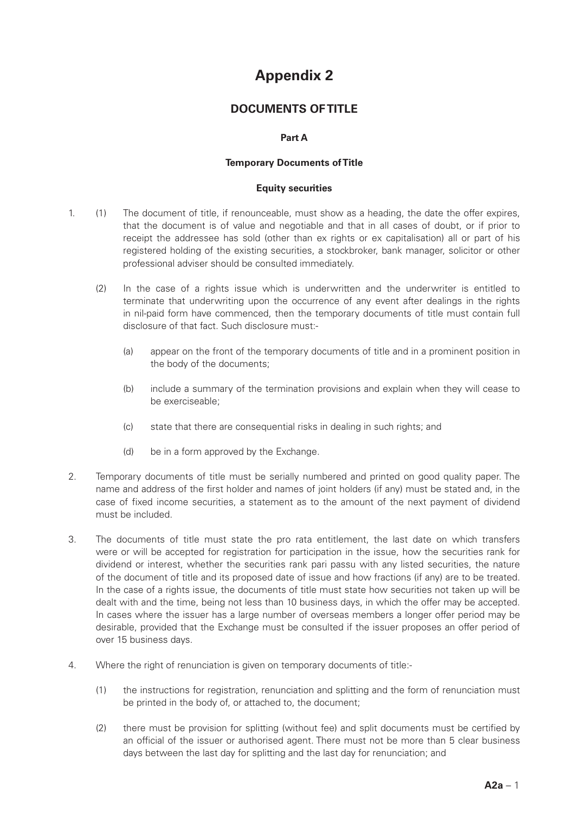# **Appendix 2**

# **DOCUMENTS OF TITLE**

## **Part A**

#### **Temporary Documents of Title**

#### **Equity securities**

- 1. (1) The document of title, if renounceable, must show as a heading, the date the offer expires, that the document is of value and negotiable and that in all cases of doubt, or if prior to receipt the addressee has sold (other than ex rights or ex capitalisation) all or part of his registered holding of the existing securities, a stockbroker, bank manager, solicitor or other professional adviser should be consulted immediately.
	- (2) In the case of a rights issue which is underwritten and the underwriter is entitled to terminate that underwriting upon the occurrence of any event after dealings in the rights in nil-paid form have commenced, then the temporary documents of title must contain full disclosure of that fact. Such disclosure must:-
		- (a) appear on the front of the temporary documents of title and in a prominent position in the body of the documents;
		- (b) include a summary of the termination provisions and explain when they will cease to be exerciseable;
		- (c) state that there are consequential risks in dealing in such rights; and
		- (d) be in a form approved by the Exchange.
- 2. Temporary documents of title must be serially numbered and printed on good quality paper. The name and address of the first holder and names of joint holders (if any) must be stated and, in the case of fixed income securities, a statement as to the amount of the next payment of dividend must be included.
- 3. The documents of title must state the pro rata entitlement, the last date on which transfers were or will be accepted for registration for participation in the issue, how the securities rank for dividend or interest, whether the securities rank pari passu with any listed securities, the nature of the document of title and its proposed date of issue and how fractions (if any) are to be treated. In the case of a rights issue, the documents of title must state how securities not taken up will be dealt with and the time, being not less than 10 business days, in which the offer may be accepted. In cases where the issuer has a large number of overseas members a longer offer period may be desirable, provided that the Exchange must be consulted if the issuer proposes an offer period of over 15 business days.
- 4. Where the right of renunciation is given on temporary documents of title:-
	- (1) the instructions for registration, renunciation and splitting and the form of renunciation must be printed in the body of, or attached to, the document;
	- (2) there must be provision for splitting (without fee) and split documents must be certified by an official of the issuer or authorised agent. There must not be more than 5 clear business days between the last day for splitting and the last day for renunciation; and